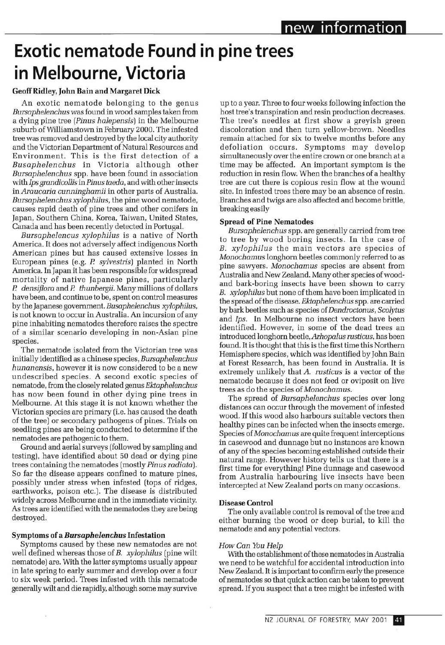# **Exotic nematode Found in pine trees in Melbourne, Victoria**

#### **Geoff Ridley, John Bain and Margaret Dick**

An exotic nematode belonging to the genus *Bursaphelenchus* was found in wood samples taken from a dying pine tree *[Pinus halepensis)* in the Melbourne suburb of Williamstown in February 2000. The infested tree was removed and destroyed by the local city authority and the Victorian Department of Natural Resources and Environment. This is the first detection of a *Busaphelenchus* in Victoria although other *Bursaphelenchus* spp. have been found in association with *Ips grandicollis* in *Pinus taeda,* and with other insects in *Araucaria cunninghamii* in other parts of Australia. *Bursaphelenchus xylophilus,* the pine wood nematode, causes rapid death of pine trees and other conifers in Japan, Southern China, Korea, Taiwan, United States, Canada and has been recently detected in Portugal.

*Bursaphelencus xylophilus* is a native of North America. It does not adversely affect indigenous North American pines but has caused extensive losses in European pines (e.g. *P. sylvestris)* planted in North America. In Japan it has been responsible for widespread mortality of native Japanese pines, particularly *P. densiflora* and *P thunbergii.* Many millions of dollars have been, and continue to be, spent on control measures by the Japanese government. *Busaphelenchus xylophilus,*  is not known to occur in Australia. An incursion of any pine inhabiting nematodes therefore raises the spectre of a similar scenario developing in non-Asian pine species.

The nematode isolated from the Victorian tree was initially identified as a Chinese species, *Bursaphelenchus hunanensis,* however it is now considered to be a new undescribed species. A second exotic species of nematode, from the closely related genus *Ektaphelenchus*  has now been found in other dying pine trees in Melbourne. At this stage it is not known whether the Victorian species are primary (i.e. has caused the death of the tree) or secondary pathogens of pines. Trials on seedling pines are being conducted to determine if the nematodes are pathogenic to them.

Ground and aerial surveys (followed by sampling and testing), have identified about 50 dead or dying pine trees containing the nematodes (mostly *Pinus radiata).*  So far the disease appears confined to mature pines, possibly under stress when infested (tops of ridges, earthworks, poison etc.). The disease is distributed widely across Melbourne and in the immediate vicinity. As trees are identified with the nematodes they are being destroyed.

#### **Symptoms** *of SL Bursaphelenchus* **Infestation**

Symptoms caused by these new nematodes are not well defined whereas those of *B. xylophilus* (pine wilt nematode) are. With the latter symptoms usually appear in late spring to early summer and develop over a four to six week period. Trees infested with this nematode generally wilt and die rapidly, although some may survive up to a year. Three to four weeks following infection the host tree's transpiration and resin production decreases. The tree's needles at first show a greyish green discoloration and then turn yellow-brown. Needles remain attached for six to twelve months before any defoliation occurs. Symptoms may develop simultaneously over the entire crown or one branch at a time may be affected. An important symptom is the reduction in resin flow. When the branches of a healthy tree are cut there is copious resin flow at the wound site. In infested trees there may be an absence of resin. Branches and twigs are also affected and become brittle, breaking easily

#### **Spread of Pine Nematodes**

*Bursaphelenchus* spp. are generally carried from tree to tree by wood boring insects. In the case of *B. xylophilus* the main vectors are species of *Monochamus* longhorn beetles commonly referred to as pine sawyers. *Monochamus* species are absent from Australia and New Zealand. Many other species of woodand bark-boring insects have been shown to carry *B. xylophilus* but none of them have been implicated in the spread ofthe disease. *Ektaphelenchus* spp. are carried by bark beetles such as species *oi Dendroctonus, Scolytus*  and *Ips.* In Melbourne no insect vectors have been identified. However, in some of the dead trees an introduced longhorn beetle, *Arhopalus rusticus,* has been found. It is thought that this is the first time this Northern Hemisphere species, which was identified by John Bain at Forest Research, has been found in Australia. It is extremely unlikely that *A. rusticus* is a vector of the nematode because it does not feed or oviposit on live trees as do the species *oi Monochamus.* 

The spread of *Bursaphelenchus* species over long distances can occur through the movement of infested wood. If this wood also harbours suitable vectors then healthy pines can be infected when the insects emerge. Species *oi Monochamus* are quite frequent interceptions in casewood and dunnage but no instances are known of any of the species becoming established outside their natural range. However history tells us that there is a first time for everything! Pine dunnage and casewood from Australia harbouring live insects have been intercepted at New Zealand ports on many occasions.

#### **Disease Control**

The only available control is removal of the tree and either burning the wood or deep burial, to kill the nematode and any potential vectors.

#### *How Can You Help*

With the establishment of these nematodes in Australia we need to be watchful for accidental introduction into New Zealand. It is important to confirm early the presence of nematodes so that quick action can be taken to prevent spread. If you suspect that a tree might be infested with